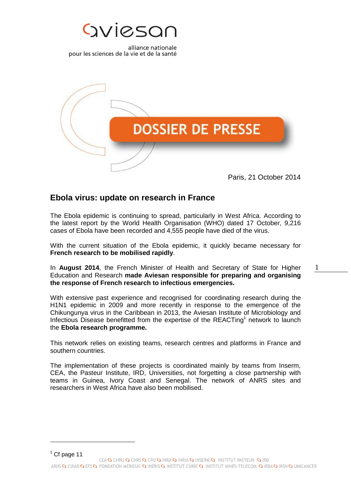



Paris, 21 October 2014

1

# **Ebola virus: update on research in France**

The Ebola epidemic is continuing to spread, particularly in West Africa. According to the latest report by the World Health Organisation (WHO) dated 17 October, 9,216 cases of Ebola have been recorded and 4,555 people have died of the virus.

With the current situation of the Ebola epidemic, it quickly became necessary for **French research to be mobilised rapidly**.

In **August 2014**, the French Minister of Health and Secretary of State for Higher Education and Research **made Aviesan responsible for preparing and organising the response of French research to infectious emergencies.** 

With extensive past experience and recognised for coordinating research during the H1N1 epidemic in 2009 and more recently in response to the emergence of the Chikungunya virus in the Caribbean in 2013, the Aviesan Institute of Microbiology and Infectious Disease benefitted from the expertise of the REACTing<sup>1</sup> network to launch the **Ebola research programme.**

This network relies on existing teams, research centres and platforms in France and southern countries.

The implementation of these projects is coordinated mainly by teams from Inserm, CEA, the Pasteur Institute, IRD, Universities, not forgetting a close partnership with teams in Guinea, Ivory Coast and Senegal. The network of ANRS sites and researchers in West Africa have also been mobilised.

 $<sup>1</sup>$  Cf page 11</sup>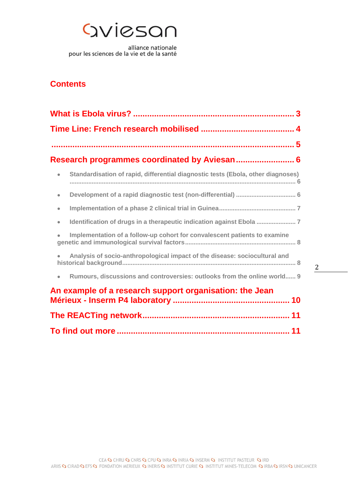# Gviesan

alliance nationale pour les sciences de la vie et de la santé

# **Contents**

| Standardisation of rapid, differential diagnostic tests (Ebola, other diagnoses)<br>$\bullet$ |
|-----------------------------------------------------------------------------------------------|
| $\bullet$                                                                                     |
| $\bullet$                                                                                     |
| Identification of drugs in a therapeutic indication against Ebola<br>$\bullet$                |
| Implementation of a follow-up cohort for convalescent patients to examine                     |
| Analysis of socio-anthropological impact of the disease: sociocultural and                    |
| Rumours, discussions and controversies: outlooks from the online world 9<br>$\bullet$         |
| An example of a research support organisation: the Jean                                       |
|                                                                                               |
|                                                                                               |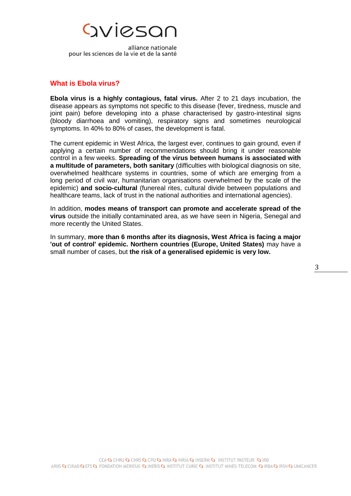

#### <span id="page-2-0"></span>**What is Ebola virus?**

**Ebola virus is a highly contagious, fatal virus.** After 2 to 21 days incubation, the disease appears as symptoms not specific to this disease (fever, tiredness, muscle and joint pain) before developing into a phase characterised by gastro-intestinal signs (bloody diarrhoea and vomiting), respiratory signs and sometimes neurological symptoms. In 40% to 80% of cases, the development is fatal.

The current epidemic in West Africa, the largest ever, continues to gain ground, even if applying a certain number of recommendations should bring it under reasonable control in a few weeks. **Spreading of the virus between humans is associated with a multitude of parameters, both sanitary** (difficulties with biological diagnosis on site, overwhelmed healthcare systems in countries, some of which are emerging from a long period of civil war, humanitarian organisations overwhelmed by the scale of the epidemic) **and socio-cultural** (funereal rites, cultural divide between populations and healthcare teams, lack of trust in the national authorities and international agencies).

In addition, **modes means of transport can promote and accelerate spread of the virus** outside the initially contaminated area, as we have seen in Nigeria, Senegal and more recently the United States.

In summary, **more than 6 months after its diagnosis, West Africa is facing a major 'out of control' epidemic. Northern countries (Europe, United States)** may have a small number of cases, but **the risk of a generalised epidemic is very low.**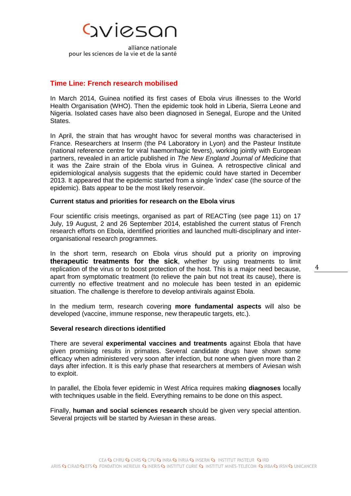

### <span id="page-3-0"></span>**Time Line: French research mobilised**

In March 2014, Guinea notified its first cases of Ebola virus illnesses to the World Health Organisation (WHO). Then the epidemic took hold in Liberia, Sierra Leone and Nigeria. Isolated cases have also been diagnosed in Senegal, Europe and the United States.

In April, the strain that has wrought havoc for several months was characterised in France. Researchers at Inserm (the P4 Laboratory in Lyon) and the Pasteur Institute (national reference centre for viral haemorrhagic fevers), working jointly with European partners, revealed in an article published in *The New England Journal of Medicine* that it was the Zaire strain of the Ebola virus in Guinea. A retrospective clinical and epidemiological analysis suggests that the epidemic could have started in December 2013. It appeared that the epidemic started from a single 'index' case (the source of the epidemic). Bats appear to be the most likely reservoir.

#### **Current status and priorities for research on the Ebola virus**

Four scientific crisis meetings, organised as part of REACTing (see page 11) on 17 July, 19 August, 2 and 26 September 2014, established the current status of French research efforts on Ebola, identified priorities and launched multi-disciplinary and interorganisational research programmes.

In the short term, research on Ebola virus should put a priority on improving **therapeutic treatments for the sick**, whether by using treatments to limit replication of the virus or to boost protection of the host. This is a major need because, apart from symptomatic treatment (to relieve the pain but not treat its cause), there is currently no effective treatment and no molecule has been tested in an epidemic situation. The challenge is therefore to develop antivirals against Ebola.

In the medium term, research covering **more fundamental aspects** will also be developed (vaccine, immune response, new therapeutic targets, etc.).

#### **Several research directions identified**

There are several **experimental vaccines and treatments** against Ebola that have given promising results in primates. Several candidate drugs have shown some efficacy when administered very soon after infection, but none when given more than 2 days after infection. It is this early phase that researchers at members of Aviesan wish to exploit.

In parallel, the Ebola fever epidemic in West Africa requires making **diagnoses** locally with techniques usable in the field. Everything remains to be done on this aspect.

Finally, **human and social sciences research** should be given very special attention. Several projects will be started by Aviesan in these areas.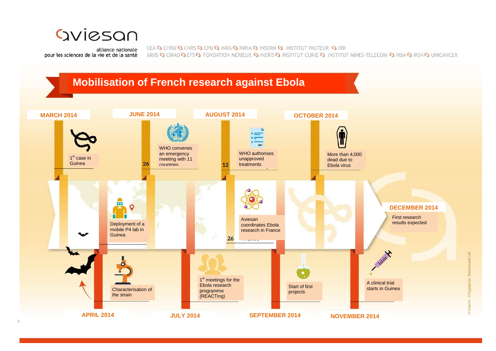

CEA SO CHRU SO CNRS SO CPU SO INRA SO INRIA SO INSERM SO INSTITUT PASTEUR SO IRD ARIIS Q CIRAD Q EFS Q FONDATION MERIEUX Q INERIS Q INSTITUT CURIE Q INSTITUT MINES-TELECOM Q IRBA Q IRSN Q UNICANCER

<span id="page-4-0"></span>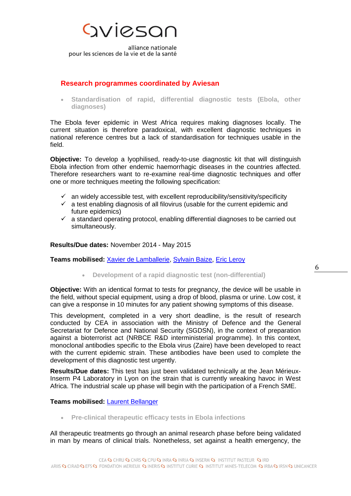

### <span id="page-5-0"></span>**Research programmes coordinated by Aviesan**

<span id="page-5-1"></span> **Standardisation of rapid, differential diagnostic tests (Ebola, other diagnoses)**

The Ebola fever epidemic in West Africa requires making diagnoses locally. The current situation is therefore paradoxical, with excellent diagnostic techniques in national reference centres but a lack of standardisation for techniques usable in the field.

**Objective:** To develop a lyophilised, ready-to-use diagnostic kit that will distinguish Ebola infection from other endemic haemorrhagic diseases in the countries affected. Therefore researchers want to re-examine real-time diagnostic techniques and offer one or more techniques meeting the following specification:

- $\checkmark$  an widely accessible test, with excellent reproducibility/sensitivity/specificity
- $\checkmark$  a test enabling diagnosis of all filovirus (usable for the current epidemic and future epidemics)
- $\checkmark$  a standard operating protocol, enabling differential diagnoses to be carried out simultaneously.

#### **Results/Due dates:** November 2014 - May 2015

#### <span id="page-5-2"></span>**Teams mobilised:** [Xavier de Lamballerie,](mailto:xavier.de-lamballerie@univ-amu.fr) [Sylvain Baize,](mailto:sylvain.baize@pasteur.fr) [Eric Leroy](mailto:eric.leroy@ird.fr)

**Development of a rapid diagnostic test (non-differential)**

**Objective:** With an identical format to tests for pregnancy, the device will be usable in the field, without special equipment, using a drop of blood, plasma or urine. Low cost, it can give a response in 10 minutes for any patient showing symptoms of this disease.

This development, completed in a very short deadline, is the result of research conducted by CEA in association with the Ministry of Defence and the General Secretariat for Defence and National Security (SGDSN), in the context of preparation against a bioterrorist act (NRBCE R&D interministerial programme). In this context, monoclonal antibodies specific to the Ebola virus (Zaire) have been developed to react with the current epidemic strain. These antibodies have been used to complete the development of this diagnostic test urgently.

**Results/Due dates:** This test has just been validated technically at the Jean Mérieux-Inserm P4 Laboratory in Lyon on the strain that is currently wreaking havoc in West Africa. The industrial scale up phase will begin with the participation of a French SME.

#### **Teams mobilised:** [Laurent Bellanger](mailto:laurent.bellanger@cea.fr)

**Pre-clinical therapeutic efficacy tests in Ebola infections**

All therapeutic treatments go through an animal research phase before being validated in man by means of clinical trials. Nonetheless, set against a health emergency, the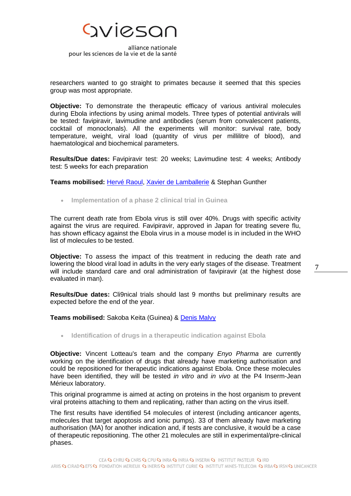

researchers wanted to go straight to primates because it seemed that this species group was most appropriate.

**Objective:** To demonstrate the therapeutic efficacy of various antiviral molecules during Ebola infections by using animal models. Three types of potential antivirals will be tested: favipiravir, lavimudine and antibodies (serum from convalescent patients, cocktail of monoclonals). All the experiments will monitor: survival rate, body temperature, weight, viral load (quantity of virus per millilitre of blood), and haematological and biochemical parameters.

**Results/Due dates:** Favipiravir test: 20 weeks; Lavimudine test: 4 weeks; Antibody test: 5 weeks for each preparation

**Teams mobilised:** [Hervé Raoul,](mailto:herv%C3%A9.raoul@inserm.fr) [Xavier de Lamballerie](mailto:xavier.de-lamballerie@univ-amu.fr) & Stephan Gunther

<span id="page-6-0"></span>**Implementation of a phase 2 clinical trial in Guinea**

The current death rate from Ebola virus is still over 40%. Drugs with specific activity against the virus are required. Favipiravir, approved in Japan for treating severe flu, has shown efficacy against the Ebola virus in a mouse model is in included in the WHO list of molecules to be tested.

**Objective:** To assess the impact of this treatment in reducing the death rate and lowering the blood viral load in adults in the very early stages of the disease. Treatment will include standard care and oral administration of favipiravir (at the highest dose evaluated in man).

**Results/Due dates:** Cli9nical trials should last 9 months but preliminary results are expected before the end of the year.

**Teams mobilised:** Sakoba Keita (Guinea) & [Denis Malvy](mailto:denis.malvy@chu-bordeaux.fr)

<span id="page-6-1"></span>**Identification of drugs in a therapeutic indication against Ebola** 

**Objective:** Vincent Lotteau's team and the company *Enyo Pharma* are currently working on the identification of drugs that already have marketing authorisation and could be repositioned for therapeutic indications against Ebola. Once these molecules have been identified, they will be tested *in vitro* and *in vivo* at the P4 Inserm-Jean Mérieux laboratory.

This original programme is aimed at acting on proteins in the host organism to prevent viral proteins attaching to them and replicating, rather than acting on the virus itself.

The first results have identified 54 molecules of interest (including anticancer agents, molecules that target apoptosis and ionic pumps). 33 of them already have marketing authorisation (MA) for another indication and, if tests are conclusive, it would be a case of therapeutic repositioning. The other 21 molecules are still in experimental/pre-clinical phases.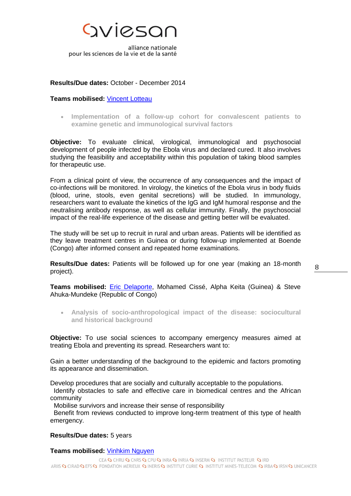

#### **Results/Due dates:** October - December 2014

#### **Teams mobilised:** [Vincent Lotteau](mailto:%20%09vincent.lotteau@inserm.fr)

<span id="page-7-0"></span> **Implementation of a follow-up cohort for convalescent patients to examine genetic and immunological survival factors**

**Objective:** To evaluate clinical, virological, immunological and psychosocial development of people infected by the Ebola virus and declared cured. It also involves studying the feasibility and acceptability within this population of taking blood samples for therapeutic use.

From a clinical point of view, the occurrence of any consequences and the impact of co-infections will be monitored. In virology, the kinetics of the Ebola virus in body fluids (blood, urine, stools, even genital secretions) will be studied. In immunology, researchers want to evaluate the kinetics of the IgG and IgM humoral response and the neutralising antibody response, as well as cellular immunity. Finally, the psychosocial impact of the real-life experience of the disease and getting better will be evaluated.

The study will be set up to recruit in rural and urban areas. Patients will be identified as they leave treatment centres in Guinea or during follow-up implemented at Boende (Congo) after informed consent and repeated home examinations.

**Results/Due dates:** Patients will be followed up for one year (making an 18-month project).

**Teams mobilised:** [Eric Delaporte,](mailto:eric.delaporte@ird.fr) Mohamed Cissé, Alpha Keita (Guinea) & Steve Ahuka-Mundeke (Republic of Congo)

<span id="page-7-1"></span> **Analysis of socio-anthropological impact of the disease: sociocultural and historical background** 

**Objective:** To use social sciences to accompany emergency measures aimed at treating Ebola and preventing its spread. Researchers want to:

Gain a better understanding of the background to the epidemic and factors promoting its appearance and dissemination.

Develop procedures that are socially and culturally acceptable to the populations.

 Identify obstacles to safe and effective care in biomedical centres and the African community

Mobilise survivors and increase their sense of responsibility

 Benefit from reviews conducted to improve long-term treatment of this type of health emergency.

#### **Results/Due dates:** 5 years

#### **Teams mobilised:** [Vinhkim Nguyen](mailto:vinhkim.nguyen@gmail.com)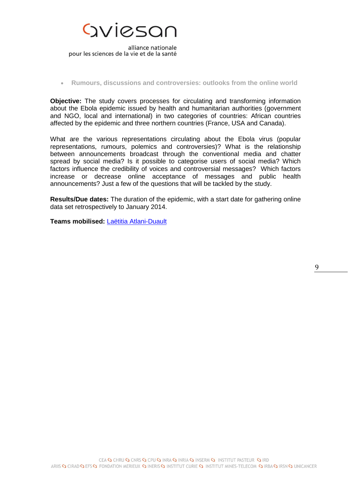

#### <span id="page-8-0"></span>**Rumours, discussions and controversies: outlooks from the online world**

**Objective:** The study covers processes for circulating and transforming information about the Ebola epidemic issued by health and humanitarian authorities (government and NGO, local and international) in two categories of countries: African countries affected by the epidemic and three northern countries (France, USA and Canada).

What are the various representations circulating about the Ebola virus (popular representations, rumours, polemics and controversies)? What is the relationship between announcements broadcast through the conventional media and chatter spread by social media? Is it possible to categorise users of social media? Which factors influence the credibility of voices and controversial messages? Which factors increase or decrease online acceptance of messages and public health announcements? Just a few of the questions that will be tackled by the study.

**Results/Due dates:** The duration of the epidemic, with a start date for gathering online data set retrospectively to January 2014.

**Teams mobilised:** [Laëtitia Atlani-Duault](mailto:laetitia.atlani-duault@ird.fr)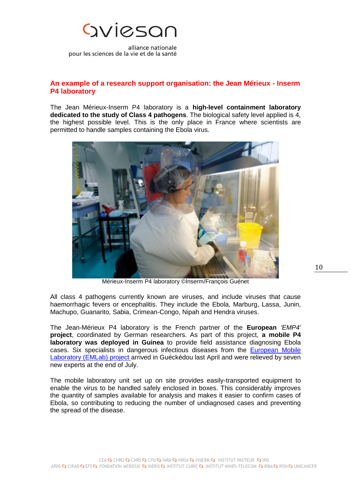

## <span id="page-9-0"></span>**An example of a research support organisation: the Jean Mérieux - Inserm P4 laboratory**

The Jean Mérieux-Inserm P4 laboratory is a **high-level containment laboratory dedicated to the study of Class 4 pathogens**. The biological safety level applied is 4, the highest possible level. This is the only place in France where scientists are permitted to handle samples containing the Ebola virus.



Mérieux-Inserm P4 laboratory ©Inserm/François Guénet

All class 4 pathogens currently known are viruses, and include viruses that cause haemorrhagic fevers or encephalitis. They include the Ebola, Marburg, Lassa, Junin, Machupo, Guanarito, Sabia, Crimean-Congo, Nipah and Hendra viruses.

The Jean-Mérieux P4 laboratory is the French partner of the **European** *'EMP4'* **project**, coordinated by German researchers. As part of this project, **a mobile P4 laboratory was deployed in Guinea** to provide field assistance diagnosing Ebola cases. Six specialists in dangerous infectious diseases from the [European Mobile](http://www.emlab.eu/)  [Laboratory \(EMLab\) project](http://www.emlab.eu/) arrived in Guéckédou last April and were relieved by seven new experts at the end of July.

The mobile laboratory unit set up on site provides easily-transported equipment to enable the virus to be handled safely enclosed in boxes. This considerably improves the quantity of samples available for analysis and makes it easier to confirm cases of Ebola, so contributing to reducing the number of undiagnosed cases and preventing the spread of the disease.